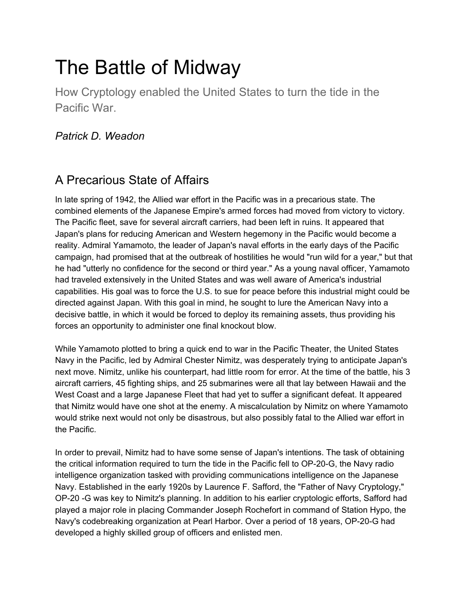# The Battle of Midway

How Cryptology enabled the United States to turn the tide in the Pacific War.

#### *Patrick D. Weadon*

## A Precarious State of Affairs

In late spring of 1942, the Allied war effort in the Pacific was in a precarious state. The combined elements of the Japanese Empire's armed forces had moved from victory to victory. The Pacific fleet, save for several aircraft carriers, had been left in ruins. It appeared that Japan's plans for reducing American and Western hegemony in the Pacific would become a reality. Admiral Yamamoto, the leader of Japan's naval efforts in the early days of the Pacific campaign, had promised that at the outbreak of hostilities he would "run wild for a year," but that he had "utterly no confidence for the second or third year." As a young naval officer, Yamamoto had traveled extensively in the United States and was well aware of America's industrial capabilities. His goal was to force the U.S. to sue for peace before this industrial might could be directed against Japan. With this goal in mind, he sought to lure the American Navy into a decisive battle, in which it would be forced to deploy its remaining assets, thus providing his forces an opportunity to administer one final knockout blow.

While Yamamoto plotted to bring a quick end to war in the Pacific Theater, the United States Navy in the Pacific, led by Admiral Chester Nimitz, was desperately trying to anticipate Japan's next move. Nimitz, unlike his counterpart, had little room for error. At the time of the battle, his 3 aircraft carriers, 45 fighting ships, and 25 submarines were all that lay between Hawaii and the West Coast and a large Japanese Fleet that had yet to suffer a significant defeat. It appeared that Nimitz would have one shot at the enemy. A miscalculation by Nimitz on where Yamamoto would strike next would not only be disastrous, but also possibly fatal to the Allied war effort in the Pacific.

In order to prevail, Nimitz had to have some sense of Japan's intentions. The task of obtaining the critical information required to turn the tide in the Pacific fell to OP-20-G, the Navy radio intelligence organization tasked with providing communications intelligence on the Japanese Navy. Established in the early 1920s by Laurence F. Safford, the "Father of Navy Cryptology," OP-20 -G was key to Nimitz's planning. In addition to his earlier cryptologic efforts, Safford had played a major role in placing Commander Joseph Rochefort in command of Station Hypo, the Navy's codebreaking organization at Pearl Harbor. Over a period of 18 years, OP-20-G had developed a highly skilled group of officers and enlisted men.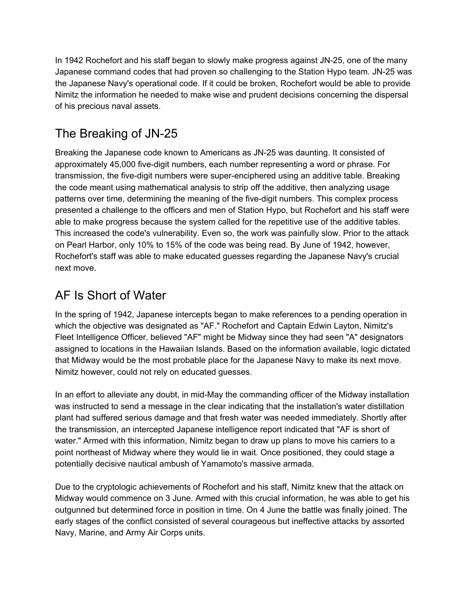In 1942 Rochefort and his staff began to slowly make progress against JN-25, one of the many Japanese command codes that had proven so challenging to the Station Hypo team. JN-25 was the Japanese Navy's operational code. If it could be broken, Rochefort would be able to provide Nimitz the information he needed to make wise and prudent decisions concerning the dispersal of his precious naval assets.

# The Breaking of JN-25

Breaking the Japanese code known to Americans as JN-25 was daunting. It consisted of approximately 45,000 five-digit numbers, each number representing a word or phrase. For transmission, the five-digit numbers were super-enciphered using an additive table. Breaking the code meant using mathematical analysis to strip off the additive, then analyzing usage patterns over time, determining the meaning of the five-digit numbers. This complex process presented a challenge to the officers and men of Station Hypo, but Rochefort and his staff were able to make progress because the system called for the repetitive use of the additive tables. This increased the code's vulnerability. Even so, the work was painfully slow. Prior to the attack on Pearl Harbor, only 10% to 15% of the code was being read. By June of 1942, however, Rochefort's staff was able to make educated guesses regarding the Japanese Navy's crucial next move.

# AF Is Short of Water

In the spring of 1942, Japanese intercepts began to make references to a pending operation in which the objective was designated as "AF." Rochefort and Captain Edwin Layton, Nimitz's Fleet Intelligence Officer, believed "AF" might be Midway since they had seen "A" designators assigned to locations in the Hawaiian Islands. Based on the information available, logic dictated that Midway would be the most probable place for the Japanese Navy to make its next move. Nimitz however, could not rely on educated guesses.

In an effort to alleviate any doubt, in mid-May the commanding officer of the Midway installation was instructed to send a message in the clear indicating that the installation's water distillation plant had suffered serious damage and that fresh water was needed immediately. Shortly after the transmission, an intercepted Japanese intelligence report indicated that "AF is short of water." Armed with this information, Nimitz began to draw up plans to move his carriers to a point northeast of Midway where they would lie in wait. Once positioned, they could stage a potentially decisive nautical ambush of Yamamoto's massive armada.

Due to the cryptologic achievements of Rochefort and his staff, Nimitz knew that the attack on Midway would commence on 3 June. Armed with this crucial information, he was able to get his outgunned but determined force in position in time. On 4 June the battle was finally joined. The early stages of the conflict consisted of several courageous but ineffective attacks by assorted Navy, Marine, and Army Air Corps units.